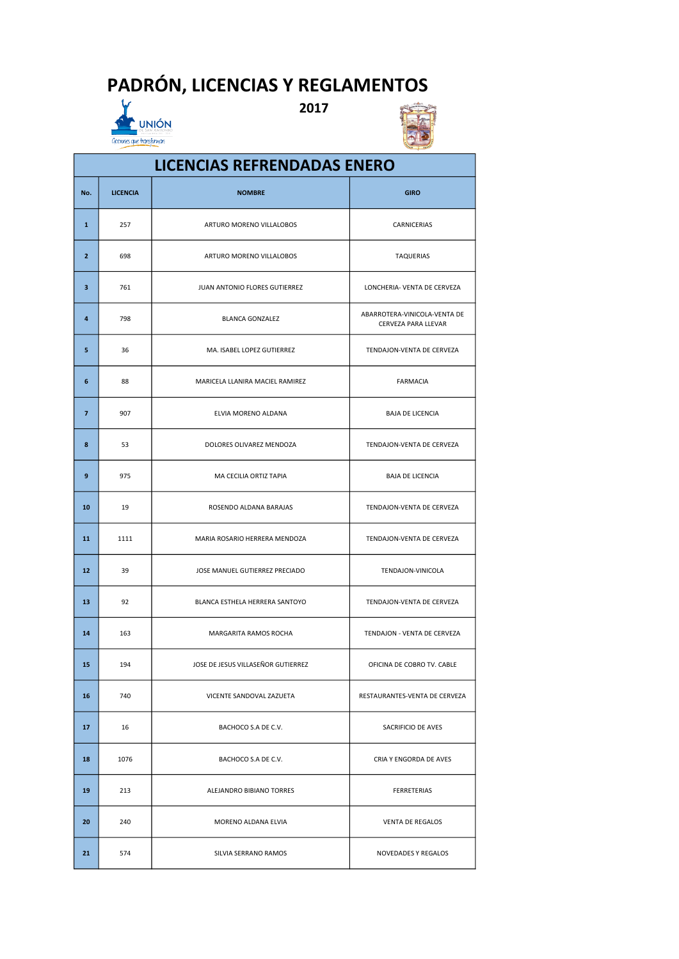## PADRÓN, LICENCIAS Y REGLAMENTOS



Cociones que transforman

2017



## No. | LICENCIA | NOMBRE GIRO | GIRO | GIRO | GIRO | GIRO | GIRO | GIRO | GIRO | GIRO | GIRO | GIRO | GIRO | GI 1 257 | ARTURO MORENO VILLALOBOS | CARNICERIAS **2** 698 **ARTURO MORENO VILLALOBOS** TAQUERIAS 3 761 JUAN ANTONIO FLORES GUTIERREZ LONCHERIA- VENTA DE CERVEZA 4 798 BLANCA GONZALEZ ABARROTERA-VINICOLA-VENTA DE CERVEZA PARA LLEVAR 5 36 MA. ISABEL LOPEZ GUTIERREZ TENDAJON-VENTA DE CERVEZA 6 88 | MARICELA LLANIRA MACIEL RAMIREZ | FARMACIA 7 907 ELVIA MORENO ALDANA BAJA DE LICENCIA 8 53 DOLORES OLIVAREZ MENDOZA TENDAJON-VENTA DE CERVEZA 9 975 MA CECILIA ORTIZ TAPIA BAJA DE LICENCIA 10 19 ROSENDO ALDANA BARAJAS TENDAJON-VENTA DE CERVEZA 11 1111 MARIA ROSARIO HERRERA MENDOZA TENDAJON-VENTA DE CERVEZA 12 39 JOSE MANUEL GUTIERREZ PRECIADO TENDAJON-VINICOLA 13 92 BLANCA ESTHELA HERRERA SANTOYO TENDAJON-VENTA DE CERVEZA 14 163 MARGARITA RAMOS ROCHA TENDAJON - VENTA DE CERVEZA 15 194 JOSE DE JESUS VILLASEÑOR GUTIERREZ OFICINA DE COBRO TV. CABLE 16 740 VICENTE SANDOVAL ZAZUETA RESTAURANTES-VENTA DE CERVEZA LICENCIAS REFRENDADAS ENERO

17 16 | BACHOCO S.A DE C.V. | SACRIFICIO DE AVES

18 1076 | BACHOCO S.A DE C.V. CRIA Y ENGORDA DE AVES

19 213 | ALEJANDRO BIBIANO TORRES | FERRETERIAS

20 240 | MORENO ALDANA ELVIA | VENTA DE REGALOS

21 574 SILVIA SERRANO RAMOS NOVEDADES Y REGALOS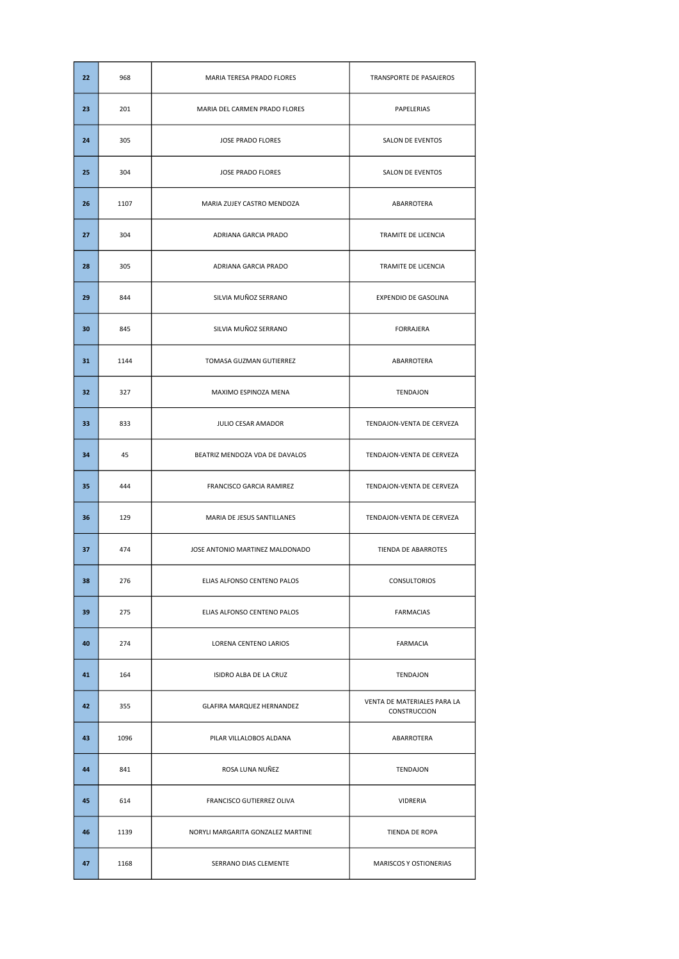| 22 | 968  | MARIA TERESA PRADO FLORES         | TRANSPORTE DE PASAJEROS                            |
|----|------|-----------------------------------|----------------------------------------------------|
| 23 | 201  | MARIA DEL CARMEN PRADO FLORES     | PAPELERIAS                                         |
| 24 | 305  | <b>JOSE PRADO FLORES</b>          | SALON DE EVENTOS                                   |
| 25 | 304  | <b>JOSE PRADO FLORES</b>          | SALON DE EVENTOS                                   |
| 26 | 1107 | MARIA ZUJEY CASTRO MENDOZA        | ABARROTERA                                         |
| 27 | 304  | ADRIANA GARCIA PRADO              | TRAMITE DE LICENCIA                                |
| 28 | 305  | ADRIANA GARCIA PRADO              | TRAMITE DE LICENCIA                                |
| 29 | 844  | SILVIA MUÑOZ SERRANO              | EXPENDIO DE GASOLINA                               |
| 30 | 845  | SILVIA MUÑOZ SERRANO              | <b>FORRAJERA</b>                                   |
| 31 | 1144 | TOMASA GUZMAN GUTIERREZ           | ABARROTERA                                         |
| 32 | 327  | MAXIMO ESPINOZA MENA              | TENDAJON                                           |
| 33 | 833  | JULIO CESAR AMADOR                | TENDAJON-VENTA DE CERVEZA                          |
| 34 | 45   | BEATRIZ MENDOZA VDA DE DAVALOS    | TENDAJON-VENTA DE CERVEZA                          |
|    |      |                                   |                                                    |
| 35 | 444  | FRANCISCO GARCIA RAMIREZ          | TENDAJON-VENTA DE CERVEZA                          |
| 36 | 129  | MARIA DE JESUS SANTILLANES        | TENDAJON-VENTA DE CERVEZA                          |
| 37 | 474  | JOSE ANTONIO MARTINEZ MALDONADO   | TIENDA DE ABARROTES                                |
| 38 | 276  | ELIAS ALFONSO CENTENO PALOS       | CONSULTORIOS                                       |
| 39 | 275  | ELIAS ALFONSO CENTENO PALOS       | <b>FARMACIAS</b>                                   |
| 40 | 274  | LORENA CENTENO LARIOS             | FARMACIA                                           |
| 41 | 164  | ISIDRO ALBA DE LA CRUZ            | TENDAJON                                           |
| 42 | 355  | GLAFIRA MARQUEZ HERNANDEZ         | VENTA DE MATERIALES PARA LA<br><b>CONSTRUCCION</b> |
| 43 | 1096 | PILAR VILLALOBOS ALDANA           | ABARROTERA                                         |
| 44 | 841  | ROSA LUNA NUÑEZ                   | TENDAJON                                           |
| 45 | 614  | FRANCISCO GUTIERREZ OLIVA         | VIDRERIA                                           |
| 46 | 1139 | NORYLI MARGARITA GONZALEZ MARTINE | TIENDA DE ROPA                                     |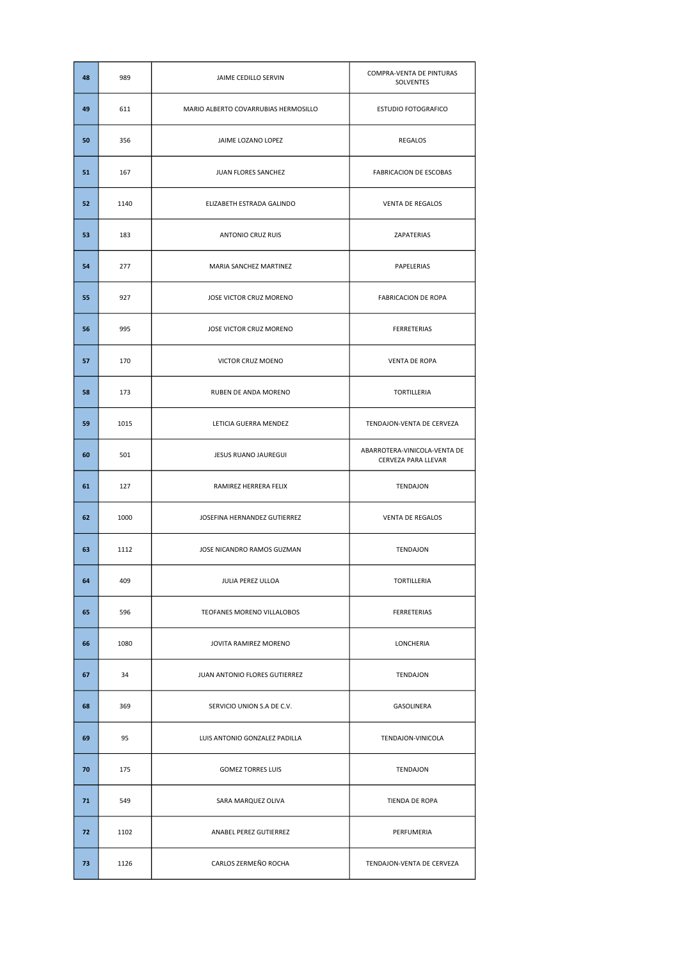| 48 | 989  | JAIME CEDILLO SERVIN                 | COMPRA-VENTA DE PINTURAS<br>SOLVENTES               |
|----|------|--------------------------------------|-----------------------------------------------------|
| 49 | 611  | MARIO ALBERTO COVARRUBIAS HERMOSILLO | ESTUDIO FOTOGRAFICO                                 |
| 50 | 356  | JAIME LOZANO LOPEZ                   | <b>REGALOS</b>                                      |
| 51 | 167  | JUAN FLORES SANCHEZ                  | <b>FABRICACION DE ESCOBAS</b>                       |
| 52 | 1140 | ELIZABETH ESTRADA GALINDO            | VENTA DE REGALOS                                    |
| 53 | 183  | <b>ANTONIO CRUZ RUIS</b>             | ZAPATERIAS                                          |
| 54 | 277  | MARIA SANCHEZ MARTINEZ               | PAPELERIAS                                          |
| 55 | 927  | JOSE VICTOR CRUZ MORENO              | <b>FABRICACION DE ROPA</b>                          |
| 56 | 995  | JOSE VICTOR CRUZ MORENO              | FERRETERIAS                                         |
| 57 | 170  | VICTOR CRUZ MOENO                    | <b>VENTA DE ROPA</b>                                |
| 58 | 173  | RUBEN DE ANDA MORENO                 | TORTILLERIA                                         |
| 59 | 1015 | LETICIA GUERRA MENDEZ                | TENDAJON-VENTA DE CERVEZA                           |
| 60 | 501  | JESUS RUANO JAUREGUI                 | ABARROTERA-VINICOLA-VENTA DE<br>CERVEZA PARA LLEVAR |
|    |      | RAMIREZ HERRERA FELIX                | TENDAJON                                            |
| 61 | 127  |                                      |                                                     |
| 62 | 1000 | JOSEFINA HERNANDEZ GUTIERREZ         | <b>VENTA DE REGALOS</b>                             |
| 63 | 1112 | JOSE NICANDRO RAMOS GUZMAN           | <b>TENDAJON</b>                                     |
| 64 | 409  | JULIA PEREZ ULLOA                    | TORTILLERIA                                         |
| 65 | 596  | TEOFANES MORENO VILLALOBOS           | FERRETERIAS                                         |
| 66 | 1080 | JOVITA RAMIREZ MORENO                | LONCHERIA                                           |
| 67 | 34   | JUAN ANTONIO FLORES GUTIERREZ        | TENDAJON                                            |
| 68 | 369  | SERVICIO UNION S.A DE C.V.           | GASOLINERA                                          |
| 69 | 95   | LUIS ANTONIO GONZALEZ PADILLA        | TENDAJON-VINICOLA                                   |
| 70 | 175  | <b>GOMEZ TORRES LUIS</b>             | TENDAJON                                            |
| 71 | 549  | SARA MARQUEZ OLIVA                   | TIENDA DE ROPA                                      |
| 72 | 1102 | ANABEL PEREZ GUTIERREZ               | PERFUMERIA                                          |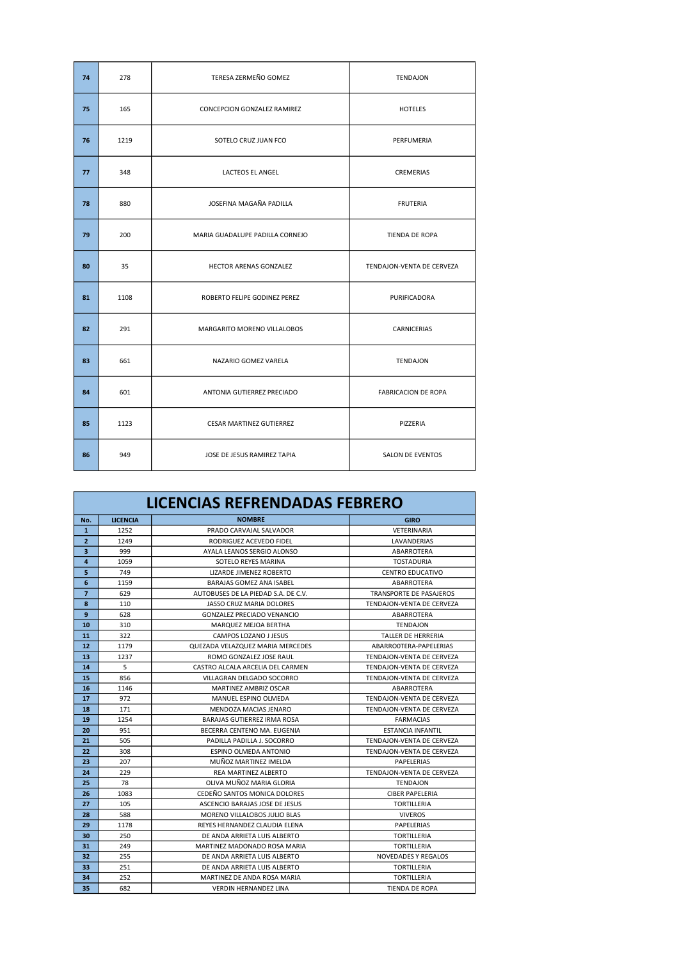| 74 | 278  | TERESA ZERMEÑO GOMEZ            | <b>TENDAJON</b>            |
|----|------|---------------------------------|----------------------------|
| 75 | 165  | CONCEPCION GONZALEZ RAMIREZ     | <b>HOTELES</b>             |
| 76 | 1219 | SOTELO CRUZ JUAN FCO            | PERFUMERIA                 |
| 77 | 348  | LACTEOS EL ANGEL                | CREMERIAS                  |
| 78 | 880  | JOSEFINA MAGAÑA PADILLA         | <b>FRUTERIA</b>            |
| 79 | 200  | MARIA GUADALUPE PADILLA CORNEJO | TIENDA DE ROPA             |
| 80 | 35   | <b>HECTOR ARENAS GONZALEZ</b>   | TENDAJON-VENTA DE CERVEZA  |
| 81 | 1108 | ROBERTO FELIPE GODINEZ PEREZ    | PURIFICADORA               |
| 82 | 291  | MARGARITO MORENO VILLALOBOS     | CARNICERIAS                |
| 83 | 661  | NAZARIO GOMEZ VARELA            | <b>TENDAJON</b>            |
| 84 | 601  | ANTONIA GUTIERREZ PRECIADO      | <b>FABRICACION DE ROPA</b> |
| 85 | 1123 | <b>CESAR MARTINEZ GUTIERREZ</b> | PIZZERIA                   |
| 86 | 949  | JOSE DE JESUS RAMIREZ TAPIA     | SALON DE EVENTOS           |

|                         |                 | LICENCIAS REFRENDADAS FEBRERO       |                                |
|-------------------------|-----------------|-------------------------------------|--------------------------------|
| No.                     | <b>LICENCIA</b> | <b>NOMBRE</b>                       | <b>GIRO</b>                    |
| $\mathbf{1}$            | 1252            | PRADO CARVAJAL SALVADOR             | VETERINARIA                    |
| $\overline{2}$          | 1249            | RODRIGUEZ ACEVEDO FIDEL             | LAVANDERIAS                    |
| $\overline{\mathbf{3}}$ | 999             | AYALA LEANOS SERGIO ALONSO          | ABARROTERA                     |
| 4                       | 1059            | SOTELO REYES MARINA                 | <b>TOSTADURIA</b>              |
| 5                       | 749             | LIZARDE JIMENEZ ROBERTO             | <b>CENTRO EDUCATIVO</b>        |
| 6                       | 1159            | BARAJAS GOMEZ ANA ISABEL            | ABARROTERA                     |
| $\overline{7}$          | 629             | AUTOBUSES DE LA PIEDAD S.A. DE C.V. | <b>TRANSPORTE DE PASAJEROS</b> |
| 8                       | 110             | JASSO CRUZ MARIA DOLORES            | TENDAJON-VENTA DE CERVEZA      |
| 9                       | 628             | <b>GONZALEZ PRECIADO VENANCIO</b>   | ABARROTERA                     |
| 10                      | 310             | MARQUEZ MEJOA BERTHA                | <b>TENDAJON</b>                |
| 11                      | 322             | CAMPOS LOZANO J JESUS               | TALLER DE HERRERIA             |
| 12                      | 1179            | QUEZADA VELAZQUEZ MARIA MERCEDES    | ABARROOTERA-PAPELERIAS         |
| 13                      | 1237            | ROMO GONZALEZ JOSE RAUL             | TENDAJON-VENTA DE CERVEZA      |
| 14                      | 5               | CASTRO ALCALA ARCELIA DEL CARMEN    | TENDAJON-VENTA DE CERVEZA      |
| 15                      | 856             | VILLAGRAN DELGADO SOCORRO           | TENDAJON-VENTA DE CERVEZA      |
| 16                      | 1146            | MARTINEZ AMBRIZ OSCAR               | ABARROTERA                     |
| 17                      | 972             | MANUEL ESPINO OLMEDA                | TENDAION-VENTA DE CERVEZA      |
| 18                      | 171             | MENDOZA MACIAS JENARO               | TENDAJON-VENTA DE CERVEZA      |
| 19                      | 1254            | <b>BARAJAS GUTIERREZ IRMA ROSA</b>  | <b>FARMACIAS</b>               |
| 20                      | 951             | BECERRA CENTENO MA, EUGENIA         | <b>ESTANCIA INFANTIL</b>       |
| 21                      | 505             | PADILLA PADILLA J. SOCORRO          | TENDAION-VENTA DE CERVEZA      |
| 22                      | 308             | <b>ESPINO OLMEDA ANTONIO</b>        | TENDAJON-VENTA DE CERVEZA      |
| 23                      | 207             | MUÑOZ MARTINEZ IMELDA               | PAPELERIAS                     |
| 24                      | 229             | <b>REA MARTINEZ ALBERTO</b>         | TENDAJON-VENTA DE CERVEZA      |
| 25                      | 78              | OLIVA MUÑOZ MARIA GLORIA            | <b>TENDAJON</b>                |
| 26                      | 1083            | CEDEÑO SANTOS MONICA DOLORES        | <b>CIBER PAPELERIA</b>         |
| 27                      | 105             | ASCENCIO BARAJAS JOSE DE JESUS      | <b>TORTILLERIA</b>             |
| 28                      | 588             | MORENO VILLALOBOS JULIO BLAS        | <b>VIVEROS</b>                 |
| 29                      | 1178            | REYES HERNANDEZ CLAUDIA ELENA       | PAPELERIAS                     |
| 30                      | 250             | DE ANDA ARRIETA LUIS ALBERTO        | <b>TORTILLERIA</b>             |
| 31                      | 249             | MARTINEZ MADONADO ROSA MARIA        | <b>TORTILLERIA</b>             |
| 32                      | 255             | DE ANDA ARRIETA LUIS ALBERTO        | <b>NOVEDADES Y REGALOS</b>     |
| 33                      | 251             | DE ANDA ARRIETA LUIS ALBERTO        | <b>TORTILLERIA</b>             |
| 34                      | 252             | MARTINEZ DE ANDA ROSA MARIA         | <b>TORTILLERIA</b>             |
| 35                      | 682             | <b>VERDIN HERNANDEZ LINA</b>        | <b>TIENDA DE ROPA</b>          |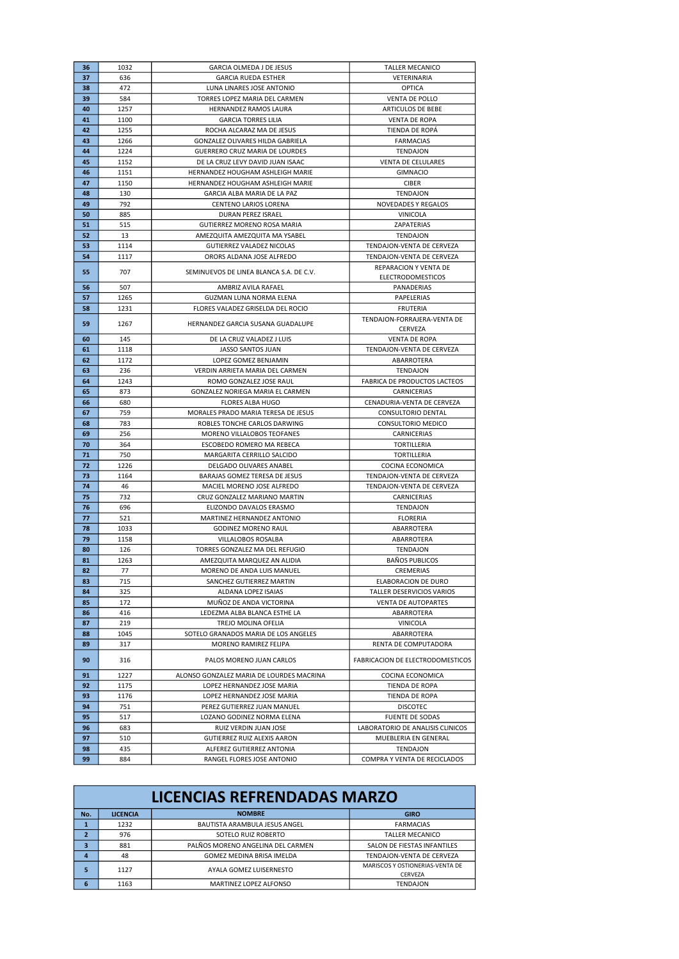| 36       | 1032        | GARCIA OLMEDA J DE JESUS                                   | <b>TALLER MECANICO</b>                          |
|----------|-------------|------------------------------------------------------------|-------------------------------------------------|
| 37       | 636         | <b>GARCIA RUEDA ESTHER</b>                                 | VETERINARIA                                     |
| 38       | 472         | LUNA LINARES JOSE ANTONIO                                  | <b>OPTICA</b>                                   |
| 39       | 584         | TORRES LOPEZ MARIA DEL CARMEN                              | <b>VENTA DE POLLO</b>                           |
| 40       | 1257        | HERNANDEZ RAMOS LAURA                                      | <b>ARTICULOS DE BEBE</b>                        |
| 41       | 1100        | <b>GARCIA TORRES LILIA</b>                                 | <b>VENTA DE ROPA</b>                            |
| 42       | 1255        | ROCHA ALCARAZ MA DE JESUS                                  | TIENDA DE ROPA                                  |
| 43       | 1266        | GONZALEZ OLIVARES HILDA GABRIELA                           | <b>FARMACIAS</b>                                |
| 44       | 1224        | <b>GUERRERO CRUZ MARIA DE LOURDES</b>                      | <b>TENDAJON</b>                                 |
| 45       | 1152        | DE LA CRUZ LEVY DAVID JUAN ISAAC                           | <b>VENTA DE CELULARES</b>                       |
| 46       | 1151        | HERNANDEZ HOUGHAM ASHLEIGH MARIE                           | <b>GIMNACIO</b>                                 |
| 47       | 1150        | HERNANDEZ HOUGHAM ASHLEIGH MARIE                           | <b>CIBER</b>                                    |
| 48       | 130         | GARCIA ALBA MARIA DE LA PAZ                                | <b>TENDAJON</b>                                 |
| 49       | 792         | <b>CENTENO LARIOS LORENA</b>                               | NOVEDADES Y REGALOS                             |
| 50       | 885         | DURAN PEREZ ISRAEL                                         | VINICOLA                                        |
| 51       | 515         | <b>GUTIERREZ MORENO ROSA MARIA</b>                         | ZAPATERIAS                                      |
| 52       | 13          | AMEZQUITA AMEZQUITA MA YSABEL                              | <b>TENDAJON</b>                                 |
| 53       | 1114        | GUTIERREZ VALADEZ NICOLAS                                  | TENDAJON-VENTA DE CERVEZA                       |
| 54       | 1117        | ORORS ALDANA JOSE ALFREDO                                  | TENDAJON-VENTA DE CERVEZA                       |
| 55       | 707         | SEMINUEVOS DE LINEA BLANCA S.A. DE C.V.                    | REPARACION Y VENTA DE                           |
|          |             |                                                            | <b>ELECTRODOMESTICOS</b>                        |
| 56       | 507         | AMBRIZ AVILA RAFAEL                                        | PANADERIAS                                      |
| 57       | 1265        | GUZMAN LUNA NORMA ELENA                                    | PAPELERIAS                                      |
| 58       | 1231        | FLORES VALADEZ GRISELDA DEL ROCIO                          | <b>FRUTERIA</b>                                 |
| 59       | 1267        | HERNANDEZ GARCIA SUSANA GUADALUPE                          | TENDAJON-FORRAJERA-VENTA DE                     |
|          |             |                                                            | CERVEZA                                         |
| 60       | 145         | DE LA CRUZ VALADEZ J LUIS                                  | <b>VENTA DE ROPA</b>                            |
| 61       | 1118        | JASSO SANTOS JUAN                                          | TENDAJON-VENTA DE CERVEZA                       |
| 62<br>63 | 1172        | LOPEZ GOMEZ BENJAMIN                                       | ABARROTERA                                      |
| 64       | 236         | VERDIN ARRIETA MARIA DEL CARMEN<br>ROMO GONZALEZ JOSE RAUL | TENDAJON<br><b>FABRICA DE PRODUCTOS LACTEOS</b> |
|          | 1243        |                                                            |                                                 |
| 65<br>66 | 873<br>680  | GONZALEZ NORIEGA MARIA EL CARMEN<br>FLORES ALBA HUGO       | CARNICERIAS<br>CENADURIA-VENTA DE CERVEZA       |
| 67       | 759         | MORALES PRADO MARIA TERESA DE JESUS                        | CONSULTORIO DENTAL                              |
| 68       | 783         | ROBLES TONCHE CARLOS DARWING                               | CONSULTORIO MEDICO                              |
|          |             |                                                            |                                                 |
|          |             |                                                            |                                                 |
| 69       | 256         | MORENO VILLALOBOS TEOFANES                                 | CARNICERIAS                                     |
| 70       | 364         | ESCOBEDO ROMERO MA REBECA                                  | TORTILLERIA                                     |
| 71       | 750         | MARGARITA CERRILLO SALCIDO                                 | TORTILLERIA                                     |
| 72       | 1226        | DELGADO OLIVARES ANABEL                                    | COCINA ECONOMICA                                |
| 73       | 1164        | BARAJAS GOMEZ TERESA DE JESUS                              | TENDAJON-VENTA DE CERVEZA                       |
| 74       | 46          | MACIEL MORENO JOSE ALFREDO                                 | TENDAJON-VENTA DE CERVEZA                       |
| 75       | 732         | CRUZ GONZALEZ MARIANO MARTIN                               | CARNICERIAS                                     |
| 76       | 696         | ELIZONDO DAVALOS ERASMO                                    | TENDAJON<br><b>FLORERIA</b>                     |
| 77       | 521<br>1033 | MARTINEZ HERNANDEZ ANTONIO                                 |                                                 |
| 78<br>79 |             | <b>GODINEZ MORENO RAUL</b>                                 | ABARROTERA                                      |
| 80       | 1158<br>126 | VILLALOBOS ROSALBA<br>TORRES GONZALEZ MA DEL REFUGIO       | ABARROTERA<br>TENDAJON                          |
| 81       | 1263        | AMEZQUITA MARQUEZ AN ALIDIA                                |                                                 |
| 82       | 77          | MORENO DE ANDA LUIS MANUEL                                 | <b>BAÑOS PUBLICOS</b><br>CREMERIAS              |
| 83       | 715         | SANCHEZ GUTIERREZ MARTIN                                   | ELABORACION DE DURO                             |
| 84       | 325         | ALDANA LOPEZ ISAIAS                                        | <b>TALLER DESERVICIOS VARIOS</b>                |
| 85       | 172         | MUÑOZ DE ANDA VICTORINA                                    | VENTA DE AUTOPARTES                             |
| 86       | 416         | LEDEZMA ALBA BLANCA ESTHE LA                               | ABARROTERA                                      |
| 87       | 219         | TREJO MOLINA OFELIA                                        | VINICOLA                                        |
| 88       | 1045        | SOTELO GRANADOS MARIA DE LOS ANGELES                       | ABARROTERA                                      |
| 89       | 317         | MORENO RAMIREZ FELIPA                                      | RENTA DE COMPUTADORA                            |
| 90       | 316         | PALOS MORENO JUAN CARLOS                                   | FABRICACION DE ELECTRODOMESTICOS                |
| 91       | 1227        | ALONSO GONZALEZ MARIA DE LOURDES MACRINA                   | COCINA ECONOMICA                                |
| 92       | 1175        | LOPEZ HERNANDEZ JOSE MARIA                                 | TIENDA DE ROPA                                  |
| 93       | 1176        | LOPEZ HERNANDEZ JOSE MARIA                                 | TIENDA DE ROPA                                  |
| 94       | 751         | PEREZ GUTIERREZ JUAN MANUEL                                | <b>DISCOTEC</b>                                 |
| 95       | 517         | LOZANO GODINEZ NORMA ELENA                                 | <b>FUENTE DE SODAS</b>                          |
| 96       | 683         | RUIZ VERDIN JUAN JOSE                                      | LABORATORIO DE ANALISIS CLINICOS                |
| 97       | 510         | GUTIERREZ RUIZ ALEXIS AARON                                | MUEBLERIA EN GENERAL                            |
| 98       | 435         | ALFEREZ GUTIERREZ ANTONIA                                  | TENDAJON                                        |

|                          | <b>LICENCIAS REFRENDADAS MARZO</b> |                                   |                                                   |  |
|--------------------------|------------------------------------|-----------------------------------|---------------------------------------------------|--|
| No.                      | <b>LICENCIA</b>                    | <b>NOMBRE</b>                     | <b>GIRO</b>                                       |  |
|                          | 1232                               | BAUTISTA ARAMBULA JESUS ANGEL     | <b>FARMACIAS</b>                                  |  |
| $\overline{\phantom{a}}$ | 976                                | SOTELO RUIZ ROBERTO               | TALLER MECANICO                                   |  |
| 3                        | 881                                | PALÑOS MORENO ANGELINA DEL CARMEN | SALON DE FIESTAS INFANTILES                       |  |
| $\overline{a}$           | 48                                 | <b>GOMEZ MEDINA BRISA IMELDA</b>  | TENDAION-VENTA DE CERVEZA                         |  |
| 5                        | 1127                               | AYALA GOMEZ LUISERNESTO           | MARISCOS Y OSTIONERIAS-VENTA DE<br><b>CERVEZA</b> |  |
| 6                        | 1163                               | <b>MARTINEZ LOPEZ ALFONSO</b>     | TENDAJON                                          |  |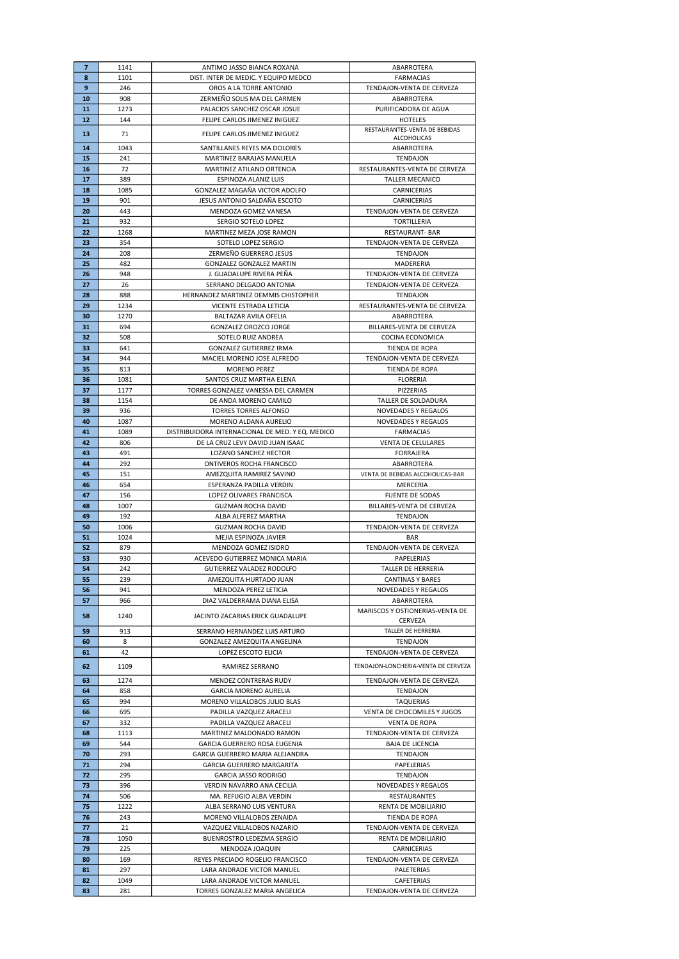| $\overline{7}$ | 1141        | ANTIMO JASSO BIANCA ROXANA                                   | ABARROTERA                              |
|----------------|-------------|--------------------------------------------------------------|-----------------------------------------|
| 8              | 1101        | DIST. INTER DE MEDIC. Y EQUIPO MEDCO                         | <b>FARMACIAS</b>                        |
| 9              | 246         | OROS A LA TORRE ANTONIO                                      | TENDAJON-VENTA DE CERVEZA               |
| 10             | 908         | ZERMEÑO SOLIS MA DEL CARMEN                                  | ABARROTERA                              |
| 11             | 1273        | PALACIOS SANCHEZ OSCAR JOSUE                                 | PURIFICADORA DE AGUA                    |
| 12             | 144         | FELIPE CARLOS JIMENEZ INIGUEZ                                | <b>HOTELES</b>                          |
|                |             |                                                              | RESTAURANTES-VENTA DE BEBIDAS           |
| 13             | 71          | FELIPE CARLOS JIMENEZ INIGUEZ                                | ALCOHOLICAS                             |
| 14             | 1043        | SANTILLANES REYES MA DOLORES                                 | ABARROTERA                              |
| 15             | 241         | MARTINEZ BARAJAS MANUELA                                     | TENDAJON                                |
| 16             | 72          | MARTINEZ ATILANO ORTENCIA                                    | RESTAURANTES-VENTA DE CERVEZA           |
| 17             | 389         | ESPINOZA ALANIZ LUIS                                         | <b>TALLER MECANICO</b>                  |
| 18             | 1085        | GONZALEZ MAGAÑA VICTOR ADOLFO                                | <b>CARNICERIAS</b>                      |
| 19             | 901         | JESUS ANTONIO SALDAÑA ESCOTO                                 | CARNICERIAS                             |
| 20             | 443         | MENDOZA GOMEZ VANESA                                         | TENDAJON-VENTA DE CERVEZA               |
| 21             | 932         |                                                              |                                         |
|                |             | SERGIO SOTELO LOPEZ                                          | TORTILLERIA                             |
| 22             | 1268        | MARTINEZ MEZA JOSE RAMON                                     | <b>RESTAURANT- BAR</b>                  |
| 23             | 354         | SOTELO LOPEZ SERGIO                                          | TENDAJON-VENTA DE CERVEZA               |
| 24             | 208         | ZERMENO GUERRERO JESUS                                       | TENDAJON                                |
| 25             | 482         | <b>GONZALEZ GONZALEZ MARTIN</b>                              | MADERERIA                               |
| 26             | 948         | J. GUADALUPE RIVERA PEÑA                                     | TENDAJON-VENTA DE CERVEZA               |
| 27             | 26          | SERRANO DELGADO ANTONIA                                      | TENDAJON-VENTA DE CERVEZA               |
| 28             | 888         | HERNANDEZ MARTINEZ DEMMIS CHISTOPHER                         | TENDAJON                                |
| 29             | 1234        | VICENTE ESTRADA LETICIA                                      | RESTAURANTES-VENTA DE CERVEZA           |
| 30             | 1270        | BALTAZAR AVILA OFELIA                                        | ABARROTERA                              |
| 31             | 694         | <b>GONZALEZ OROZCO JORGE</b>                                 | <b>BILLARES-VENTA DE CERVEZA</b>        |
| 32             | 508         | SOTELO RUIZ ANDREA                                           | COCINA ECONOMICA                        |
| 33             | 641         | GONZALEZ GUTIERREZ IRMA                                      | TIENDA DE ROPA                          |
| 34             | 944         | MACIEL MORENO JOSE ALFREDO                                   | TENDAJON-VENTA DE CERVEZA               |
| 35             | 813         | <b>MORENO PEREZ</b>                                          | TIENDA DE ROPA                          |
| 36             | 1081        | SANTOS CRUZ MARTHA ELENA                                     | <b>FLORERIA</b>                         |
| 37             | 1177        | TORRES GONZALEZ VANESSA DEL CARMEN                           | PIZZERIAS                               |
| 38             | 1154        | DE ANDA MORENO CAMILO                                        | TALLER DE SOLDADURA                     |
| 39             | 936         | <b>TORRES TORRES ALFONSO</b>                                 | <b>NOVEDADES Y REGALOS</b>              |
| 40             | 1087        | MORENO ALDANA AURELIO                                        | NOVEDADES Y REGALOS                     |
| 41             | 1089        | DISTRIBUIDORA INTERNACIONAL DE MED. Y EQ. MEDICO             | <b>FARMACIAS</b>                        |
| 42             | 806         | DE LA CRUZ LEVY DAVID JUAN ISAAC                             | <b>VENTA DE CELULARES</b>               |
| 43             | 491         | LOZANO SANCHEZ HECTOR                                        | <b>FORRAJERA</b>                        |
| 44             | 292         |                                                              |                                         |
|                |             | ONTIVEROS ROCHA FRANCISCO                                    | ABARROTERA                              |
| 45             | 151         | AMEZQUITA RAMIREZ SAVINO                                     | VENTA DE BEBIDAS ALCOHOLICAS-BAR        |
| 46             | 654         | ESPERANZA PADILLA VERDIN                                     | MERCERIA                                |
| 47             | 156         | LOPEZ OLIVARES FRANCISCA                                     | <b>FUENTE DE SODAS</b>                  |
| 48             | 1007        | <b>GUZMAN ROCHA DAVID</b>                                    | BILLARES-VENTA DE CERVEZA               |
| 49             | 192         | ALBA ALFEREZ MARTHA                                          | TENDAJON                                |
| 50             | 1006        | <b>GUZMAN ROCHA DAVID</b>                                    | TENDAJON-VENTA DE CERVEZA               |
| 51             | 1024        | MEJIA ESPINOZA JAVIER                                        | <b>BAR</b>                              |
| 52             | 879         | MENDOZA GOMEZ ISIDRO                                         | TENDAJON-VENTA DE CERVEZA               |
| 53             | 930         |                                                              |                                         |
|                |             | ACEVEDO GUTIERREZ MONICA MARIA                               | PAPELERIAS                              |
| 54             | 242         | <b>GUTIERREZ VALADEZ RODOLFO</b>                             | <b>TALLER DE HERRERIA</b>               |
| 55             | 239         | AMEZQUITA HURTADO JUAN                                       | <b>CANTINAS Y BARES</b>                 |
| 56             | 941         | MENDOZA PEREZ LETICIA                                        | <b>NOVEDADES Y REGALOS</b>              |
| 57             | 966         | DIAZ VALDERRAMA DIANA ELISA                                  | ABARROTERA                              |
|                |             |                                                              | MARISCOS Y OSTIONERIAS-VENTA DE         |
| 58             | 1240        | JACINTO ZACARIAS ERICK GUADALUPE                             | CERVEZA                                 |
| 59             | 913         | SERRANO HERNANDEZ LUIS ARTURO                                | TALLER DE HERRERIA                      |
| 60             | 8           | GONZALEZ AMEZQUITA ANGELINA                                  | TENDAJON                                |
| 61             | 42          | LOPEZ ESCOTO ELICIA                                          | TENDAJON-VENTA DE CERVEZA               |
|                |             |                                                              |                                         |
| 62             | 1109        | RAMIREZ SERRANO                                              | TENDAJON-LONCHERIA-VENTA DE CERVEZA     |
| 63             | 1274        | MENDEZ CONTRERAS RUDY                                        | TENDAJON-VENTA DE CERVEZA               |
| 64             | 858         | <b>GARCIA MORENO AURELIA</b>                                 | TENDAJON                                |
| 65             | 994         | MORENO VILLALOBOS JULIO BLAS                                 | TAQUERIAS                               |
| 66             | 695         | PADILLA VAZQUEZ ARACELI                                      | VENTA DE CHOCOMILES Y JUGOS             |
| 67             | 332         | PADILLA VAZQUEZ ARACELI                                      | <b>VENTA DE ROPA</b>                    |
| 68             | 1113        | MARTINEZ MALDONADO RAMON                                     | TENDAJON-VENTA DE CERVEZA               |
| 69             | 544         | GARCIA GUERRERO ROSA EUGENIA                                 | <b>BAJA DE LICENCIA</b>                 |
| 70             | 293         | GARCIA GUERRERO MARIA ALEJANDRA                              | TENDAJON                                |
| 71             | 294         | GARCIA GUERRERO MARGARITA                                    | PAPELERIAS                              |
| 72             | 295         | <b>GARCIA JASSO RODRIGO</b>                                  | TENDAJON                                |
| 73             | 396         | VERDIN NAVARRO ANA CECILIA                                   | NOVEDADES Y REGALOS                     |
| 74             | 506         | MA. REFUGIO ALBA VERDIN                                      | RESTAURANTES                            |
| 75             | 1222        | ALBA SERRANO LUIS VENTURA                                    | RENTA DE MOBILIARIO                     |
| 76             | 243         |                                                              |                                         |
|                |             | MORENO VILLALOBOS ZENAIDA                                    | TIENDA DE ROPA                          |
| 77             | 21          | VAZQUEZ VILLALOBOS NAZARIO                                   | TENDAJON-VENTA DE CERVEZA               |
| 78             | 1050        | BUENROSTRO LEDEZMA SERGIO                                    | RENTA DE MOBILIARIO                     |
| 79             | 225         | MENDOZA JOAQUIN                                              | CARNICERIAS                             |
| 80             | 169         | REYES PRECIADO ROGELIO FRANCISCO                             | TENDAJON-VENTA DE CERVEZA               |
| 81             | 297         | LARA ANDRADE VICTOR MANUEL                                   | PALETERIAS                              |
| 82<br>83       | 1049<br>281 | LARA ANDRADE VICTOR MANUEL<br>TORRES GONZALEZ MARIA ANGELICA | CAFETERIAS<br>TENDAJON-VENTA DE CERVEZA |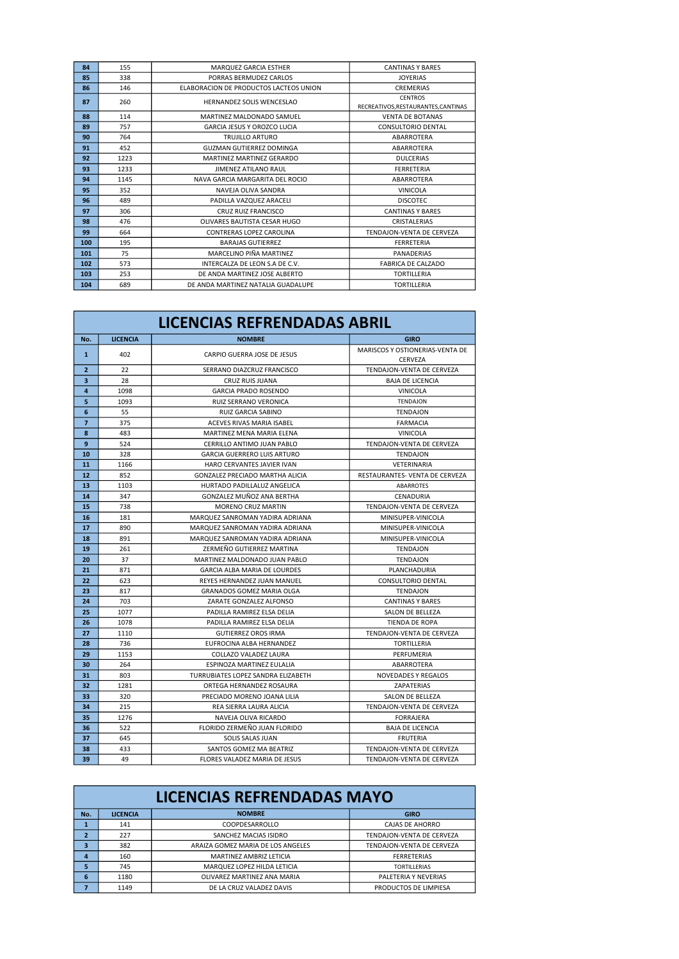| 84  | 155  | MARQUEZ GARCIA ESTHER                  | <b>CANTINAS Y BARES</b>                               |
|-----|------|----------------------------------------|-------------------------------------------------------|
| 85  | 338  | PORRAS BERMUDEZ CARLOS                 | <b>JOYERIAS</b>                                       |
| 86  | 146  | ELABORACION DE PRODUCTOS LACTEOS UNION | <b>CREMERIAS</b>                                      |
| 87  | 260  | HERNANDEZ SOLIS WENCESLAO              | <b>CENTROS</b><br>RECREATIVOS, RESTAURANTES, CANTINAS |
| 88  | 114  | MARTINEZ MALDONADO SAMUEL              | <b>VENTA DE BOTANAS</b>                               |
| 89  | 757  | <b>GARCIA JESUS Y OROZCO LUCIA</b>     | <b>CONSULTORIO DENTAL</b>                             |
| 90  | 764  | TRUJILLO ARTURO                        | ABARROTERA                                            |
| 91  | 452  | GUZMAN GUTIERREZ DOMINGA               | ABARROTERA                                            |
| 92  | 1223 | MARTINEZ MARTINEZ GERARDO              | <b>DULCERIAS</b>                                      |
| 93  | 1233 | <b>JIMENEZ ATILANO RAUL</b>            | <b>FERRETERIA</b>                                     |
| 94  | 1145 | NAVA GARCIA MARGARITA DEL ROCIO        | ABARROTERA                                            |
| 95  | 352  | NAVEIA OLIVA SANDRA                    | <b>VINICOLA</b>                                       |
| 96  | 489  | PADILLA VAZQUEZ ARACELI                | <b>DISCOTEC</b>                                       |
| 97  | 306  | CRUZ RUIZ FRANCISCO                    | <b>CANTINAS Y BARES</b>                               |
| 98  | 476  | OLIVARES BAUTISTA CESAR HUGO           | <b>CRISTALERIAS</b>                                   |
| 99  | 664  | CONTRERAS LOPEZ CAROLINA               | TENDAION-VENTA DE CERVEZA                             |
| 100 | 195  | <b>BARAJAS GUTIERREZ</b>               | <b>FERRETERIA</b>                                     |
| 101 | 75   | MARCELINO PIÑA MARTINEZ                | <b>PANADERIAS</b>                                     |
| 102 | 573  | INTERCALZA DE LEON S.A DE C.V.         | <b>FABRICA DE CALZADO</b>                             |
| 103 | 253  | DE ANDA MARTINEZ JOSE ALBERTO          | <b>TORTILLERIA</b>                                    |
| 104 | 689  | DE ANDA MARTINEZ NATALIA GUADALUPE     | <b>TORTILLERIA</b>                                    |

| <b>LICENCIAS REFRENDADAS ABRIL</b> |                 |                                        |                                 |
|------------------------------------|-----------------|----------------------------------------|---------------------------------|
| No.                                | <b>LICENCIA</b> | <b>NOMBRE</b>                          | <b>GIRO</b>                     |
| $\mathbf{1}$                       | 402             | CARPIO GUERRA JOSE DE JESUS            | MARISCOS Y OSTIONERIAS-VENTA DE |
|                                    |                 |                                        | CERVEZA                         |
| $\overline{2}$                     | 22              | SERRANO DIAZCRUZ FRANCISCO             | TENDAJON-VENTA DE CERVEZA       |
| 3                                  | 28              | CRUZ RUIS JUANA                        | <b>BAJA DE LICENCIA</b>         |
| $\overline{a}$                     | 1098            | <b>GARCIA PRADO ROSENDO</b>            | <b>VINICOLA</b>                 |
| 5                                  | 1093            | <b>RUIZ SERRANO VERONICA</b>           | <b>TENDAJON</b>                 |
| 6                                  | 55              | RUIZ GARCIA SABINO                     | <b>TENDAJON</b>                 |
| $\overline{7}$                     | 375             | <b>ACEVES RIVAS MARIA ISABEL</b>       | <b>FARMACIA</b>                 |
| 8                                  | 483             | MARTINEZ MENA MARIA ELENA              | <b>VINICOLA</b>                 |
| 9                                  | 524             | CERRILLO ANTIMO JUAN PABLO             | TENDAJON-VENTA DE CERVEZA       |
| 10                                 | 328             | <b>GARCIA GUERRERO LUIS ARTURO</b>     | <b>TENDAJON</b>                 |
| 11                                 | 1166            | HARO CERVANTES JAVIER IVAN             | VETERINARIA                     |
| 12                                 | 852             | <b>GONZALEZ PRECIADO MARTHA ALICIA</b> | RESTAURANTES- VENTA DE CERVEZA  |
| 13                                 | 1103            | HURTADO PADILLALUZ ANGELICA            | ABARROTES                       |
| 14                                 | 347             | GONZALEZ MUÑOZ ANA BERTHA              | CENADURIA                       |
| 15                                 | 738             | MORENO CRUZ MARTIN                     | TENDAJON-VENTA DE CERVEZA       |
| 16                                 | 181             | MARQUEZ SANROMAN YADIRA ADRIANA        | MINISUPER-VINICOLA              |
| 17                                 | 890             | MARQUEZ SANROMAN YADIRA ADRIANA        | MINISUPER-VINICOLA              |
| 18                                 | 891             | MARQUEZ SANROMAN YADIRA ADRIANA        | MINISUPER-VINICOLA              |
| 19                                 | 261             | ZERMEÑO GUTIERREZ MARTINA              | <b>TENDAJON</b>                 |
| 20                                 | 37              | MARTINEZ MALDONADO JUAN PABLO          | TENDAJON                        |
| 21                                 | 871             | GARCIA ALBA MARIA DE LOURDES           | PLANCHADURIA                    |
| 22                                 | 623             | REYES HERNANDEZ JUAN MANUEL            | <b>CONSULTORIO DENTAL</b>       |
| 23                                 | 817             | GRANADOS GOMEZ MARIA OLGA              | TENDAJON                        |
| 24                                 | 703             | ZARATE GONZALEZ ALFONSO                | <b>CANTINAS Y BARES</b>         |
| 25                                 | 1077            | PADILLA RAMIREZ ELSA DELIA             | SALON DE BELLEZA                |
| 26                                 | 1078            | PADILLA RAMIREZ ELSA DELIA             | TIENDA DE ROPA                  |
| 27                                 | 1110            | <b>GUTIERREZ OROS IRMA</b>             | TENDAJON-VENTA DE CERVEZA       |
| 28                                 | 736             | EUFROCINA ALBA HERNANDEZ               | TORTILLERIA                     |
| 29                                 | 1153            | COLLAZO VALADEZ LAURA                  | PERFUMERIA                      |
| 30                                 | 264             | ESPINOZA MARTINEZ EULALIA              | ABARROTERA                      |
| 31                                 | 803             | TURRUBIATES LOPEZ SANDRA ELIZABETH     | <b>NOVEDADES Y REGALOS</b>      |
| 32                                 | 1281            | ORTEGA HERNANDEZ ROSAURA               | ZAPATERIAS                      |
| 33                                 | 320             | PRECIADO MORENO JOANA LILIA            | SALON DE BELLEZA                |
| 34                                 | 215             | REA SIERRA LAURA ALICIA                | TENDAJON-VENTA DE CERVEZA       |
| 35                                 | 1276            | NAVEJA OLIVA RICARDO                   | <b>FORRAJERA</b>                |
| 36                                 | 522             | FLORIDO ZERMEÑO JUAN FLORIDO           | <b>BAJA DE LICENCIA</b>         |
| 37                                 | 645             | SOLIS SALAS JUAN                       | <b>FRUTERIA</b>                 |
| 38                                 | 433             | SANTOS GOMEZ MA BEATRIZ                | TENDAJON-VENTA DE CERVEZA       |
| 39                                 | 49              | FLORES VALADEZ MARIA DE JESUS          | TENDAJON-VENTA DE CERVEZA       |

|              | <b>LICENCIAS REFRENDADAS MAYO</b> |                                   |                           |  |
|--------------|-----------------------------------|-----------------------------------|---------------------------|--|
| No.          | <b>LICENCIA</b>                   | <b>NOMBRE</b>                     | <b>GIRO</b>               |  |
|              | 141                               | COOPDESARROLLO                    | CAIAS DE AHORRO           |  |
| $\mathbf{2}$ | 227                               | SANCHEZ MACIAS ISIDRO             | TENDAJON-VENTA DE CERVEZA |  |
| 3            | 382                               | ARAIZA GOMEZ MARIA DE LOS ANGELES | TENDAJON-VENTA DE CERVEZA |  |
| 4            | 160                               | MARTINEZ AMBRIZ LETICIA           | <b>FERRETERIAS</b>        |  |
| 5            | 745                               | MARQUEZ LOPEZ HILDA LETICIA       | <b>TORTILLERIAS</b>       |  |
| 6            | 1180                              | OLIVAREZ MARTINEZ ANA MARIA       | PALETERIA Y NEVERIAS      |  |
| 7            | 1149                              | DE LA CRUZ VALADEZ DAVIS          | PRODUCTOS DE LIMPIESA     |  |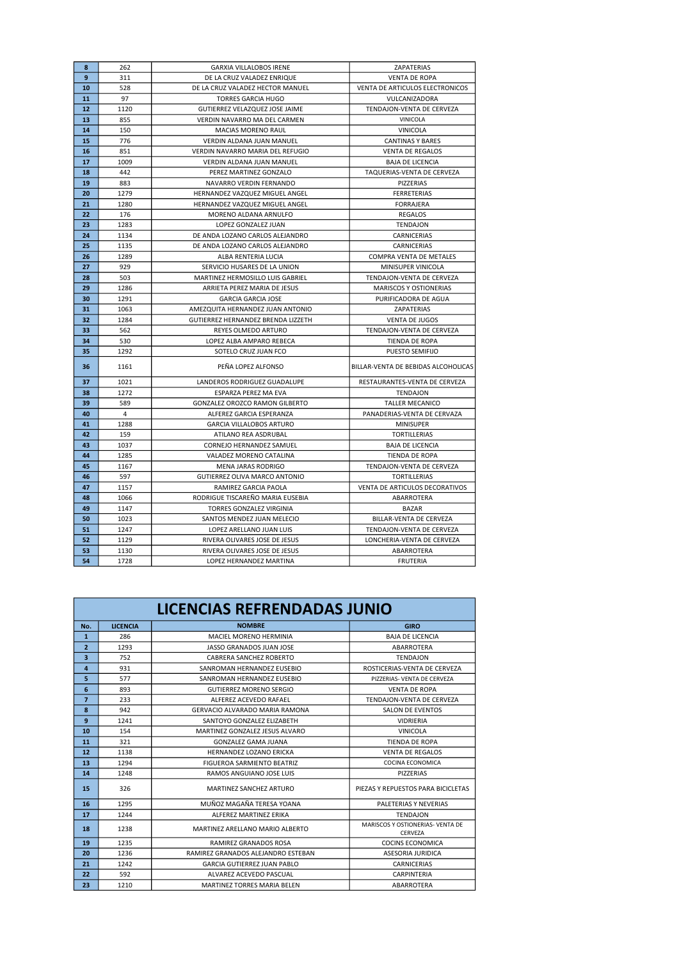| 8  | 262  | <b>GARXIA VILLALOBOS IRENE</b>        | ZAPATERIAS                          |
|----|------|---------------------------------------|-------------------------------------|
| 9  | 311  | DE LA CRUZ VALADEZ ENRIQUE            | <b>VENTA DE ROPA</b>                |
| 10 | 528  | DE LA CRUZ VALADEZ HECTOR MANUEL      | VENTA DE ARTICULOS ELECTRONICOS     |
| 11 | 97   | <b>TORRES GARCIA HUGO</b>             | VULCANIZADORA                       |
| 12 | 1120 | GUTIERREZ VELAZQUEZ JOSE JAIME        | TENDAJON-VENTA DE CERVEZA           |
| 13 | 855  | VERDIN NAVARRO MA DEL CARMEN          | <b>VINICOLA</b>                     |
| 14 | 150  | <b>MACIAS MORENO RAUL</b>             | <b>VINICOLA</b>                     |
| 15 | 776  | VERDIN ALDANA JUAN MANUEL             | <b>CANTINAS Y BARES</b>             |
| 16 | 851  | VERDIN NAVARRO MARIA DEL REFUGIO      | <b>VENTA DE REGALOS</b>             |
| 17 | 1009 | VERDIN ALDANA JUAN MANUEL             | <b>BAJA DE LICENCIA</b>             |
| 18 | 442  | PEREZ MARTINEZ GONZALO                | TAQUERIAS-VENTA DE CERVEZA          |
| 19 | 883  | NAVARRO VERDIN FERNANDO               | PIZZERIAS                           |
| 20 | 1279 | HERNANDEZ VAZQUEZ MIGUEL ANGEL        | <b>FERRETERIAS</b>                  |
| 21 | 1280 | HERNANDEZ VAZQUEZ MIGUEL ANGEL        | <b>FORRAJERA</b>                    |
| 22 | 176  | MORENO ALDANA ARNULFO                 | REGALOS                             |
| 23 | 1283 | LOPEZ GONZALEZ JUAN                   | TENDAJON                            |
| 24 | 1134 | DE ANDA LOZANO CARLOS ALEJANDRO       | <b>CARNICERIAS</b>                  |
| 25 | 1135 | DE ANDA LOZANO CARLOS ALEJANDRO       | <b>CARNICERIAS</b>                  |
| 26 | 1289 | ALBA RENTERIA LUCIA                   | COMPRA VENTA DE METALES             |
| 27 | 929  | SERVICIO HUSARES DE LA UNION          | MINISUPER VINICOLA                  |
| 28 | 503  | MARTINEZ HERMOSILLO LUIS GABRIEL      | TENDAJON-VENTA DE CERVEZA           |
| 29 | 1286 | ARRIETA PEREZ MARIA DE JESUS          | <b>MARISCOS Y OSTIONERIAS</b>       |
| 30 | 1291 | <b>GARCIA GARCIA JOSE</b>             | PURIFICADORA DE AGUA                |
| 31 | 1063 | AMEZQUITA HERNANDEZ JUAN ANTONIO      | ZAPATERIAS                          |
| 32 | 1284 | GUTIERREZ HERNANDEZ BRENDA LIZZETH    | <b>VENTA DE JUGOS</b>               |
| 33 | 562  | <b>REYES OLMEDO ARTURO</b>            | TENDAJON-VENTA DE CERVEZA           |
| 34 | 530  | LOPEZ ALBA AMPARO REBECA              | TIENDA DE ROPA                      |
| 35 | 1292 | SOTELO CRUZ JUAN FCO                  | PUESTO SEMIFIJO                     |
| 36 | 1161 | PEÑA LOPEZ ALFONSO                    | BILLAR-VENTA DE BEBIDAS ALCOHOLICAS |
| 37 | 1021 | LANDEROS RODRIGUEZ GUADALUPE          | RESTAURANTES-VENTA DE CERVEZA       |
| 38 | 1272 | ESPARZA PEREZ MA EVA                  | TENDAJON                            |
| 39 | 589  | <b>GONZALEZ OROZCO RAMON GILBERTO</b> | <b>TALLER MECANICO</b>              |
| 40 | 4    | ALFEREZ GARCIA ESPERANZA              | PANADERIAS-VENTA DE CERVAZA         |
| 41 | 1288 | <b>GARCIA VILLALOBOS ARTURO</b>       | <b>MINISUPER</b>                    |
| 42 | 159  | ATILANO REA ASDRUBAL                  | <b>TORTILLERIAS</b>                 |
| 43 | 1037 | CORNEJO HERNANDEZ SAMUEL              | <b>BAJA DE LICENCIA</b>             |
| 44 | 1285 | VALADEZ MORENO CATALINA               | TIENDA DE ROPA                      |
| 45 | 1167 | MENA JARAS RODRIGO                    | TENDAJON-VENTA DE CERVEZA           |
| 46 | 597  | GUTIERREZ OLIVA MARCO ANTONIO         | TORTILLERIAS                        |
| 47 | 1157 | RAMIREZ GARCIA PAOLA                  | VENTA DE ARTICULOS DECORATIVOS      |
| 48 | 1066 | RODRIGUE TISCAREÑO MARIA EUSEBIA      | ABARROTERA                          |
| 49 | 1147 | TORRES GONZALEZ VIRGINIA              | <b>BAZAR</b>                        |
| 50 | 1023 | SANTOS MENDEZ JUAN MELECIO            | BILLAR-VENTA DE CERVEZA             |
| 51 | 1247 | LOPEZ ARELLANO JUAN LUIS              | TENDAJON-VENTA DE CERVEZA           |
| 52 | 1129 | RIVERA OLIVARES JOSE DE JESUS         | LONCHERIA-VENTA DE CERVEZA          |
| 53 | 1130 | RIVERA OLIVARES JOSE DE JESUS         | ABARROTERA                          |
| 54 | 1728 | LOPEZ HERNANDEZ MARTINA               | <b>FRUTERIA</b>                     |

|                |                 | <b>LICENCIAS REFRENDADAS JUNIO</b> |                                                    |
|----------------|-----------------|------------------------------------|----------------------------------------------------|
| No.            | <b>LICENCIA</b> | <b>NOMBRE</b>                      | <b>GIRO</b>                                        |
| $\mathbf{1}$   | 286             | MACIEL MORENO HERMINIA             | <b>BAIA DE LICENCIA</b>                            |
| $\overline{2}$ | 1293            | JASSO GRANADOS JUAN JOSE           | ABARROTERA                                         |
| 3              | 752             | CABRERA SANCHEZ ROBERTO            | <b>TENDAION</b>                                    |
| $\overline{a}$ | 931             | SANROMAN HERNANDEZ EUSEBIO         | ROSTICERIAS-VENTA DE CERVEZA                       |
| 5              | 577             | SANROMAN HERNANDEZ EUSEBIO         | PIZZERIAS- VENTA DE CERVEZA                        |
| 6              | 893             | GUTIERREZ MORENO SERGIO            | <b>VENTA DE ROPA</b>                               |
| $\overline{7}$ | 233             | ALFEREZ ACEVEDO RAFAEL             | TENDAION-VENTA DE CERVEZA                          |
| 8              | 942             | GERVACIO ALVARADO MARIA RAMONA     | SALON DE EVENTOS                                   |
| 9              | 1241            | SANTOYO GONZALEZ ELIZABETH         | <b>VIDRIERIA</b>                                   |
| 10             | 154             | MARTINEZ GONZALEZ JESUS ALVARO     | <b>VINICOLA</b>                                    |
| 11             | 321             | GONZALEZ GAMA JUANA                | <b>TIENDA DE ROPA</b>                              |
| 12             | 1138            | HERNANDEZ LOZANO ERICKA            | <b>VENTA DE REGALOS</b>                            |
| 13             | 1294            | FIGUEROA SARMIENTO BEATRIZ         | COCINA ECONOMICA                                   |
| 14             | 1248            | RAMOS ANGUIANO JOSE LUIS           | <b>PIZZERIAS</b>                                   |
| 15             | 326             | MARTINEZ SANCHEZ ARTURO            | PIEZAS Y REPUESTOS PARA BICICLETAS                 |
| 16             | 1295            | MUÑOZ MAGAÑA TERESA YOANA          | PALETERIAS Y NEVERIAS                              |
| 17             | 1244            | ALFEREZ MARTINEZ ERIKA             | <b>TENDAION</b>                                    |
| 18             | 1238            | MARTINEZ ARELLANO MARIO ALBERTO    | MARISCOS Y OSTIONERIAS- VENTA DE<br><b>CERVEZA</b> |
| 19             | 1235            | RAMIREZ GRANADOS ROSA              | COCINS ECONOMICA                                   |
| 20             | 1236            | RAMIREZ GRANADOS ALEJANDRO ESTEBAN | <b>ASESORIA JURIDICA</b>                           |
| 21             | 1242            | <b>GARCIA GUTIERREZ JUAN PABLO</b> | <b>CARNICERIAS</b>                                 |
| 22             | 592             | ALVAREZ ACEVEDO PASCUAL            | <b>CARPINTERIA</b>                                 |
| 23             | 1210            | <b>MARTINEZ TORRES MARIA BELEN</b> | <b>ABARROTERA</b>                                  |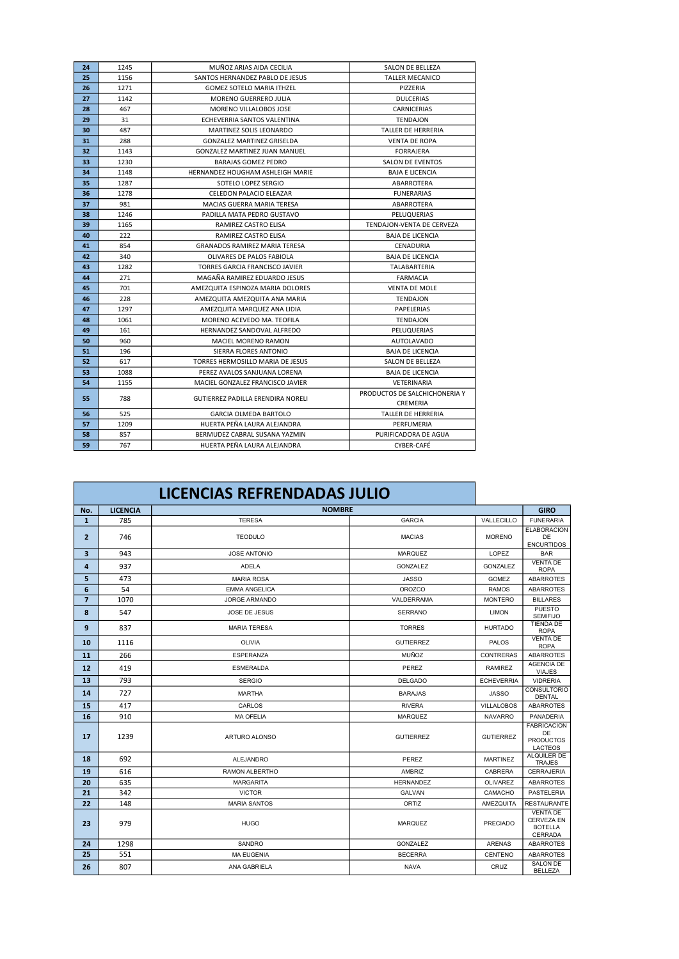| 24 | 1245 | MUÑOZ ARIAS AIDA CECILIA             | <b>SALON DE BELLEZA</b>                   |
|----|------|--------------------------------------|-------------------------------------------|
| 25 | 1156 | SANTOS HERNANDEZ PABLO DE JESUS      | <b>TALLER MECANICO</b>                    |
| 26 | 1271 | <b>GOMEZ SOTELO MARIA ITHZEL</b>     | PIZZERIA                                  |
| 27 | 1142 | <b>MORENO GUERRERO JULIA</b>         | <b>DULCERIAS</b>                          |
| 28 | 467  | MORENO VILLALOBOS JOSE               | CARNICERIAS                               |
| 29 | 31   | ECHEVERRIA SANTOS VALENTINA          | <b>TENDAJON</b>                           |
| 30 | 487  | MARTINEZ SOLIS LEONARDO              | <b>TALLER DE HERRERIA</b>                 |
| 31 | 288  | <b>GONZALEZ MARTINEZ GRISELDA</b>    | <b>VENTA DE ROPA</b>                      |
| 32 | 1143 | <b>GONZALEZ MARTINEZ JUAN MANUEL</b> | <b>FORRAJERA</b>                          |
| 33 | 1230 | <b>BARAJAS GOMEZ PEDRO</b>           | <b>SALON DE EVENTOS</b>                   |
| 34 | 1148 | HERNANDEZ HOUGHAM ASHLEIGH MARIE     | <b>BAJA E LICENCIA</b>                    |
| 35 | 1287 | SOTELO LOPEZ SERGIO                  | ABARROTERA                                |
| 36 | 1278 | CELEDON PALACIO ELEAZAR              | <b>FUNERARIAS</b>                         |
| 37 | 981  | MACIAS GUERRA MARIA TERESA           | ABARROTERA                                |
| 38 | 1246 | PADILLA MATA PEDRO GUSTAVO           | PELUQUERIAS                               |
| 39 | 1165 | RAMIREZ CASTRO ELISA                 | TENDAJON-VENTA DE CERVEZA                 |
| 40 | 222  | RAMIREZ CASTRO ELISA                 | <b>BAJA DE LICENCIA</b>                   |
| 41 | 854  | <b>GRANADOS RAMIREZ MARIA TERESA</b> | CENADURIA                                 |
| 42 | 340  | OLIVARES DE PALOS FABIOLA            | <b>BAJA DE LICENCIA</b>                   |
| 43 | 1282 | TORRES GARCIA FRANCISCO JAVIER       | TALABARTERIA                              |
| 44 | 271  | MAGAÑA RAMIREZ EDUARDO JESUS         | <b>FARMACIA</b>                           |
| 45 | 701  | AMEZQUITA ESPINOZA MARIA DOLORES     | <b>VENTA DE MOLE</b>                      |
| 46 | 228  | AMEZQUITA AMEZQUITA ANA MARIA        | <b>TENDAJON</b>                           |
| 47 | 1297 | AMEZQUITA MARQUEZ ANA LIDIA          | PAPELERIAS                                |
| 48 | 1061 | MORENO ACEVEDO MA. TEOFILA           | <b>TENDAJON</b>                           |
| 49 | 161  | HERNANDEZ SANDOVAL ALFREDO           | PELUQUERIAS                               |
| 50 | 960  | <b>MACIEL MORENO RAMON</b>           | <b>AUTOLAVADO</b>                         |
| 51 | 196  | SIERRA FLORES ANTONIO                | <b>BAJA DE LICENCIA</b>                   |
| 52 | 617  | TORRES HERMOSILLO MARIA DE JESUS     | SALON DE BELLEZA                          |
| 53 | 1088 | PEREZ AVALOS SANJUANA LORENA         | <b>BAJA DE LICENCIA</b>                   |
| 54 | 1155 | MACIEL GONZALEZ FRANCISCO JAVIER     | VETERINARIA                               |
| 55 | 788  | GUTIERREZ PADILLA ERENDIRA NORELI    | PRODUCTOS DE SALCHICHONERIA Y<br>CREMERIA |
| 56 | 525  | <b>GARCIA OLMEDA BARTOLO</b>         | <b>TALLER DE HERRERIA</b>                 |
| 57 | 1209 | HUERTA PEÑA LAURA ALEJANDRA          | PERFUMERIA                                |
| 58 | 857  | BERMUDEZ CABRAL SUSANA YAZMIN        | PURIFICADORA DE AGUA                      |
| 59 | 767  | HUERTA PEÑA LAURA ALEJANDRA          | CYBER-CAFÉ                                |

|                |                 | LICENCIAS REFRENDADAS JULIO |                  |                   |                                                                   |
|----------------|-----------------|-----------------------------|------------------|-------------------|-------------------------------------------------------------------|
| No.            | <b>LICENCIA</b> | <b>NOMBRE</b>               |                  |                   | <b>GIRO</b>                                                       |
| $\mathbf{1}$   | 785             | <b>TERESA</b>               | <b>GARCIA</b>    | VALLECILLO        | <b>FUNERARIA</b>                                                  |
| $\mathbf{z}$   | 746             | <b>TEODULO</b>              | <b>MACIAS</b>    | <b>MORENO</b>     | <b>ELABORACION</b><br>DE<br><b>ENCURTIDOS</b>                     |
| 3              | 943             | <b>JOSE ANTONIO</b>         | <b>MARQUEZ</b>   | LOPEZ             | <b>BAR</b>                                                        |
| 4              | 937             | <b>ADELA</b>                | GONZALEZ         | GONZALEZ          | <b>VENTA DE</b><br><b>ROPA</b>                                    |
| 5              | 473             | <b>MARIA ROSA</b>           | <b>JASSO</b>     | <b>GOMEZ</b>      | <b>ABARROTES</b>                                                  |
| 6              | 54              | <b>EMMA ANGELICA</b>        | <b>OROZCO</b>    | <b>RAMOS</b>      | <b>ABARROTES</b>                                                  |
| $\overline{7}$ | 1070            | <b>JORGE ARMANDO</b>        | VALDERRAMA       | <b>MONTERO</b>    | <b>BILLARES</b>                                                   |
| 8              | 547             | JOSE DE JESUS               | <b>SERRANO</b>   | <b>LIMON</b>      | <b>PUESTO</b><br><b>SEMIFIJO</b>                                  |
| 9              | 837             | <b>MARIA TERESA</b>         | <b>TORRES</b>    | <b>HURTADO</b>    | <b>TIENDA DE</b><br><b>ROPA</b>                                   |
| 10             | 1116            | <b>OLIVIA</b>               | <b>GUTIERREZ</b> | <b>PALOS</b>      | <b>VENTA DE</b><br><b>ROPA</b>                                    |
| 11             | 266             | <b>ESPERANZA</b>            | <b>MUÑOZ</b>     | <b>CONTRERAS</b>  | <b>ABARROTES</b>                                                  |
| 12             | 419             | <b>ESMERALDA</b>            | PEREZ            | <b>RAMIREZ</b>    | <b>AGENCIA DE</b><br><b>VIAJES</b>                                |
| 13             | 793             | <b>SERGIO</b>               | <b>DELGADO</b>   | <b>ECHEVERRIA</b> | <b>VIDRERIA</b>                                                   |
| 14             | 727             | <b>MARTHA</b>               | <b>BARAJAS</b>   | <b>JASSO</b>      | <b>CONSULTORIO</b><br><b>DENTAL</b>                               |
| 15             | 417             | CARLOS                      | <b>RIVERA</b>    | <b>VILLALOBOS</b> | <b>ABARROTES</b>                                                  |
| 16             | 910             | <b>MA OFELIA</b>            | <b>MARQUEZ</b>   | <b>NAVARRO</b>    | PANADERIA                                                         |
| 17             | 1239            | ARTURO ALONSO               | <b>GUTIERREZ</b> | <b>GUTIERREZ</b>  | <b>FABRICACION</b><br>DE<br><b>PRODUCTOS</b><br><b>LACTEOS</b>    |
| 18             | 692             | <b>ALEJANDRO</b>            | PFREZ            | <b>MARTINEZ</b>   | ALQUILER DE<br><b>TRAJES</b>                                      |
| 19             | 616             | <b>RAMON ALBERTHO</b>       | <b>AMBRIZ</b>    | CABRERA           | <b>CERRAJERIA</b>                                                 |
| 20             | 635             | <b>MARGARITA</b>            | <b>HERNANDEZ</b> | <b>OLIVAREZ</b>   | <b>ABARROTES</b>                                                  |
| 21             | 342             | <b>VICTOR</b>               | <b>GALVAN</b>    | CAMACHO           | PASTELERIA                                                        |
| 22             | 148             | <b>MARIA SANTOS</b>         | ORTIZ            | <b>AMEZQUITA</b>  | <b>RESTAURANTE</b>                                                |
| 23             | 979             | <b>HUGO</b>                 | <b>MARQUEZ</b>   | <b>PRECIADO</b>   | <b>VENTA DE</b><br><b>CERVEZA EN</b><br><b>BOTELLA</b><br>CERRADA |
| 24             | 1298            | <b>SANDRO</b>               | GONZALEZ         | <b>ARENAS</b>     | <b>ABARROTES</b>                                                  |
| 25             | 551             | <b>MA EUGENIA</b>           | <b>BECERRA</b>   | <b>CENTENO</b>    | <b>ABARROTES</b>                                                  |
| 26             | 807             | ANA GABRIELA                | <b>NAVA</b>      | CRUZ              | <b>SALON DE</b><br><b>BELLEZA</b>                                 |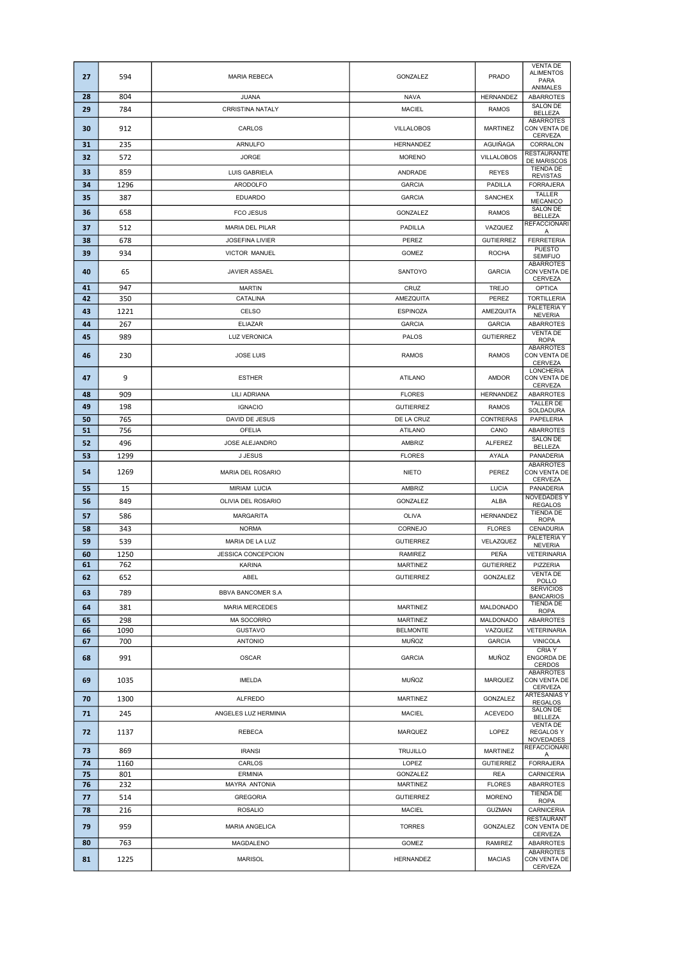| 27       | 594        | <b>MARIA REBECA</b>      | GONZALEZ                     | <b>PRADO</b>      | <b>VENTA DE</b><br><b>ALIMENTOS</b><br>PARA<br>ANIMALES |
|----------|------------|--------------------------|------------------------------|-------------------|---------------------------------------------------------|
| 28       | 804        | <b>JUANA</b>             | <b>NAVA</b>                  | HERNANDEZ         | <b>ABARROTES</b>                                        |
| 29       | 784        | <b>CRRISTINA NATALY</b>  | <b>MACIEL</b>                | <b>RAMOS</b>      | <b>SALON DE</b><br><b>BELLEZA</b>                       |
| 30       | 912        | CARLOS                   | <b>VILLALOBOS</b>            | <b>MARTINEZ</b>   | <b>ABARROTES</b><br>CON VENTA DE<br>CERVEZA             |
| 31       | 235        | ARNULFO                  | HERNANDEZ                    | AGUIÑAGA          | CORRALON                                                |
| 32       | 572        | <b>JORGE</b>             | <b>MORENO</b>                | <b>VILLALOBOS</b> | <b>RESTAURANTE</b><br>DE MARISCOS                       |
| 33       | 859        | LUIS GABRIELA            | ANDRADE                      | <b>REYES</b>      | <b>TIENDA DE</b><br><b>REVISTAS</b>                     |
| 34       | 1296       | ARODOLFO                 | <b>GARCIA</b>                | PADILLA           | <b>FORRAJERA</b>                                        |
| 35       | 387        | <b>EDUARDO</b>           | <b>GARCIA</b>                | <b>SANCHEX</b>    | TALLER                                                  |
| 36       | 658        | <b>FCO JESUS</b>         | GONZALEZ                     | <b>RAMOS</b>      | <b>MECANICO</b><br><b>SALON DE</b>                      |
|          |            | <b>MARIA DEL PILAR</b>   | PADILLA                      |                   | BELLEZA<br><b>REFACCIONARI</b>                          |
| 37       | 512        |                          |                              | VAZQUEZ           | A                                                       |
| 38       | 678        | <b>JOSEFINA LIVIER</b>   | PEREZ                        | <b>GUTIERREZ</b>  | <b>FERRETERIA</b><br><b>PUESTO</b>                      |
| 39       | 934        | VICTOR MANUEL            | <b>GOMEZ</b>                 | <b>ROCHA</b>      | <b>SEMIFIJO</b><br><b>ABARROTES</b>                     |
| 40       | 65         | JAVIER ASSAEL            | SANTOYO                      | <b>GARCIA</b>     | CON VENTA DE                                            |
| 41       | 947        | MARTIN                   | CRUZ                         | TREJO             | CERVEZA<br><b>OPTICA</b>                                |
| 42       | 350        | CATALINA                 | AMEZQUITA                    | PEREZ             | <b>TORTILLERIA</b>                                      |
| 43       | 1221       | CELSO                    | <b>ESPINOZA</b>              | AMEZQUITA         | PALETERIA Y<br><b>NEVERIA</b>                           |
| 44       | 267        | <b>ELIAZAR</b>           | <b>GARCIA</b>                | <b>GARCIA</b>     | ABARROTES                                               |
| 45       | 989        | <b>LUZ VERONICA</b>      | PALOS                        | <b>GUTIERREZ</b>  | <b>VENTA DE</b><br><b>ROPA</b>                          |
|          |            |                          |                              |                   | ABARROTES                                               |
| 46       | 230        | <b>JOSE LUIS</b>         | <b>RAMOS</b>                 | <b>RAMOS</b>      | CON VENTA DE<br>CERVEZA                                 |
| 47       | 9          | <b>ESTHER</b>            | <b>ATILANO</b>               | <b>AMDOR</b>      | <b>LONCHERIA</b><br>CON VENTA DE                        |
|          |            |                          |                              |                   | CERVEZA                                                 |
| 48       | 909        | LILI ADRIANA             | <b>FLORES</b>                | HERNANDEZ         | ABARROTES<br><b>TALLER DE</b>                           |
| 49       | 198        | <b>IGNACIO</b>           | <b>GUTIERREZ</b>             | <b>RAMOS</b>      | SOLDADURA                                               |
| 50<br>51 | 765<br>756 | DAVID DE JESUS<br>OFELIA | DE LA CRUZ<br><b>ATILANO</b> | CONTRERAS<br>CANO | PAPELERIA<br>ABARROTES                                  |
| 52       | 496        | JOSE ALEJANDRO           | AMBRIZ                       | <b>ALFEREZ</b>    | <b>SALON DE</b>                                         |
| 53       | 1299       | J JESUS                  | <b>FLORES</b>                | AYALA             | BELLEZA<br>PANADERIA                                    |
|          |            |                          |                              |                   | <b>ABARROTES</b>                                        |
| 54       | 1269       | MARIA DEL ROSARIO        | <b>NIETO</b>                 | PEREZ             | CON VENTA DE<br>CERVEZA                                 |
| 55       | 15         | <b>MIRIAM LUCIA</b>      | AMBRIZ                       | <b>LUCIA</b>      | PANADERIA                                               |
| 56       | 849        | OLIVIA DEL ROSARIO       | GONZALEZ                     | <b>ALBA</b>       | <b>NOVEDADES Y</b><br><b>REGALOS</b>                    |
| 57       | 586        | <b>MARGARITA</b>         | <b>OLIVA</b>                 | HERNANDEZ         | <b>TIENDA DE</b><br><b>ROPA</b>                         |
| 58       | 343        | <b>NORMA</b>             | CORNEJO                      | <b>FLORES</b>     | CENADURIA                                               |
| 59       | 539        | MARIA DE LA LUZ          | <b>GUTIERREZ</b>             | VELAZQUEZ         | PALETERIA Y<br><b>NEVERIA</b>                           |
| 60       | 1250       | JESSICA CONCEPCION       | RAMIREZ                      | PEÑA              | <b>VETERINARIA</b>                                      |
| 61       | 762        | <b>KARINA</b>            | <b>MARTINEZ</b>              | <b>GUTIERREZ</b>  | PIZZERIA<br><b>VENTA DE</b>                             |
| 62       | 652        | ABEL                     | <b>GUTIERREZ</b>             | GONZALEZ          | POLLO                                                   |
| 63       | 789        | BBVA BANCOMER S.A        |                              |                   | <b>SERVICIOS</b><br><b>BANCARIOS</b>                    |
| 64       | 381        | <b>MARIA MERCEDES</b>    | <b>MARTINEZ</b>              | MALDONADO         | <b>TIENDA DE</b><br><b>ROPA</b>                         |
| 65       | 298        | MA SOCORRO               | <b>MARTINEZ</b>              | MALDONADO         | <b>ABARROTES</b>                                        |
| 66       | 1090       | <b>GUSTAVO</b>           | <b>BELMONTE</b>              | VAZQUEZ           | <b>VETERINARIA</b>                                      |
| 67       | 700        | <b>ANTONIO</b>           | <b>MUÑOZ</b>                 | <b>GARCIA</b>     | <b>VINICOLA</b><br><b>CRIA Y</b>                        |
| 68       | 991        | <b>OSCAR</b>             | <b>GARCIA</b>                | <b>MUÑOZ</b>      | ENGORDA DE                                              |
|          |            |                          |                              |                   | CERDOS<br><b>ABARROTES</b>                              |
| 69       | 1035       | <b>IMELDA</b>            | <b>MUÑOZ</b>                 | <b>MARQUEZ</b>    | CON VENTA DE<br>CERVEZA                                 |
| 70       | 1300       | <b>ALFREDO</b>           | <b>MARTINEZ</b>              | GONZALEZ          | ARTESANIAS Y<br><b>REGALOS</b>                          |
| 71       | 245        | ANGELES LUZ HERMINIA     | <b>MACIEL</b>                | <b>ACEVEDO</b>    | SALON DE                                                |
|          |            |                          |                              |                   | BELLEZA<br><b>VENTA DE</b>                              |
| 72       | 1137       | REBECA                   | <b>MARQUEZ</b>               | LOPEZ             | <b>REGALOSY</b><br>NOVEDADES                            |
| 73       | 869        | <b>IRANSI</b>            | TRUJILLO                     | <b>MARTINEZ</b>   | <b>REFACCIONARI</b><br>Α                                |
| 74       | 1160       | CARLOS                   | LOPEZ                        | <b>GUTIERREZ</b>  | <b>FORRAJERA</b>                                        |
| 75       | 801        | <b>ERMINIA</b>           | GONZALEZ                     | <b>REA</b>        | <b>CARNICERIA</b>                                       |
| 76       | 232        | MAYRA ANTONIA            | <b>MARTINEZ</b>              | <b>FLORES</b>     | ABARROTES<br><b>TIENDA DE</b>                           |
| 77       | 514        | <b>GREGORIA</b>          | <b>GUTIERREZ</b>             | <b>MORENO</b>     | <b>ROPA</b>                                             |
| 78       | 216        | <b>ROSALIO</b>           | <b>MACIEL</b>                | <b>GUZMAN</b>     | <b>CARNICERIA</b>                                       |
| 79       | 959        | <b>MARIA ANGELICA</b>    | <b>TORRES</b>                | GONZALEZ          | <b>RESTAURANT</b><br>CON VENTA DE                       |
| 80       | 763        | MAGDALENO                | GOMEZ                        | RAMIREZ           | CERVEZA<br>ABARROTES                                    |
|          |            |                          |                              |                   | ABARROTES                                               |
| 81       | 1225       | <b>MARISOL</b>           | <b>HERNANDEZ</b>             | <b>MACIAS</b>     | CON VENTA DE<br>CERVEZA                                 |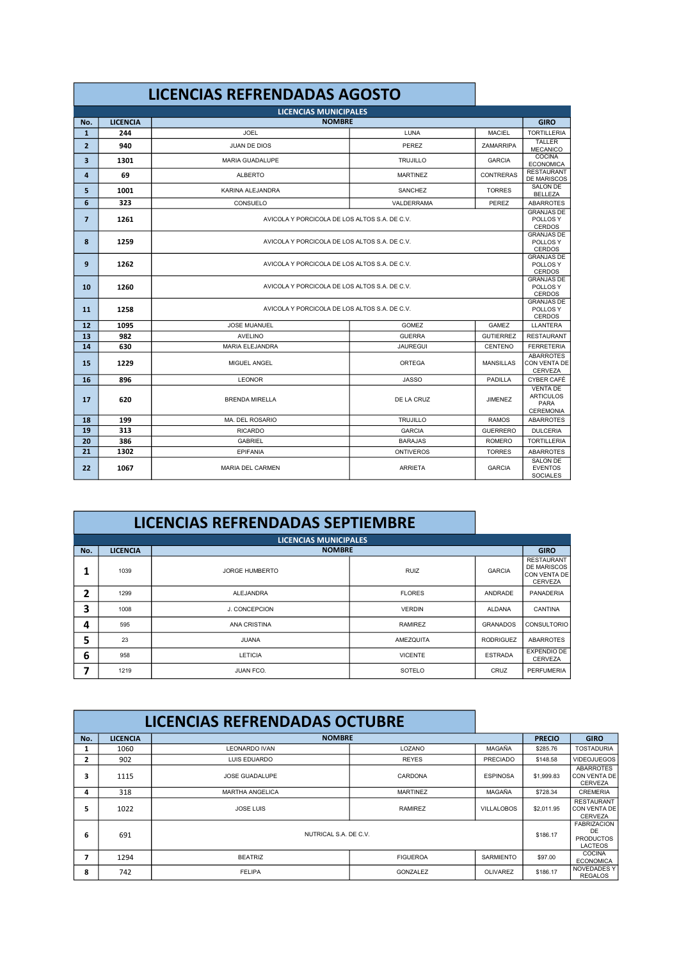|                |                 | <b>LICENCIAS REFRENDADAS AGOSTO</b>           |                  |                  |                                                                 |
|----------------|-----------------|-----------------------------------------------|------------------|------------------|-----------------------------------------------------------------|
|                |                 | <b>LICENCIAS MUNICIPALES</b>                  |                  |                  |                                                                 |
| No.            | <b>LICENCIA</b> | <b>NOMBRE</b>                                 |                  |                  | <b>GIRO</b>                                                     |
| $\mathbf{1}$   | 244             | <b>JOEL</b>                                   | LUNA             | <b>MACIEL</b>    | <b>TORTILLERIA</b>                                              |
| $\overline{2}$ | 940             | <b>JUAN DE DIOS</b>                           | PEREZ            | ZAMARRIPA        | <b>TALLER</b><br><b>MECANICO</b>                                |
| 3              | 1301            | <b>MARIA GUADALUPE</b>                        | <b>TRUJILLO</b>  | <b>GARCIA</b>    | COCINA<br><b>ECONOMICA</b>                                      |
| 4              | 69              | <b>ALBERTO</b>                                | <b>MARTINEZ</b>  | CONTRERAS        | <b>RESTAURANT</b><br><b>DE MARISCOS</b>                         |
| 5              | 1001            | KARINA ALEJANDRA                              | SANCHEZ          | <b>TORRES</b>    | <b>SALON DE</b><br><b>BELLEZA</b>                               |
| 6              | 323             | <b>CONSUELO</b>                               | VALDERRAMA       | PEREZ            | <b>ABARROTES</b>                                                |
| $\overline{7}$ | 1261            | AVICOLA Y PORCICOLA DE LOS ALTOS S.A. DE C.V. |                  |                  |                                                                 |
| 8              | 1259            | AVICOLA Y PORCICOLA DE LOS ALTOS S.A. DE C.V. |                  |                  |                                                                 |
| 9              | 1262            | AVICOLA Y PORCICOLA DE LOS ALTOS S.A. DE C.V. |                  |                  |                                                                 |
| 10             | 1260            | AVICOLA Y PORCICOLA DE LOS ALTOS S.A. DE C.V. |                  |                  |                                                                 |
| 11             | 1258            | AVICOLA Y PORCICOLA DE LOS ALTOS S.A. DE C.V. |                  |                  | <b>GRANJAS DE</b><br>POLLOS Y<br><b>CERDOS</b>                  |
| 12             | 1095            | JOSE MUANUEL                                  | <b>GOMEZ</b>     | GAMEZ            | LLANTERA                                                        |
| 13             | 982             | <b>AVELINO</b>                                | <b>GUERRA</b>    | <b>GUTIERREZ</b> | <b>RESTAURANT</b>                                               |
| 14             | 630             | <b>MARIA ELEJANDRA</b>                        | <b>JAUREGUI</b>  | CENTENO          | <b>FERRETERIA</b>                                               |
| 15             | 1229            | <b>MIGUEL ANGEL</b>                           | ORTEGA           | <b>MANSILLAS</b> | <b>ABARROTES</b><br>CON VENTA DE<br>CERVEZA                     |
| 16             | 896             | <b>LEONOR</b>                                 | <b>JASSO</b>     | PADILLA          | CYBER CAFÉ                                                      |
| 17             | 620             | <b>BRENDA MIRELLA</b>                         | DE LA CRUZ       | <b>JIMENEZ</b>   | <b>VENTA DE</b><br><b>ARTICULOS</b><br>PARA<br><b>CEREMONIA</b> |
| 18             | 199             | MA. DEL ROSARIO                               | <b>TRUJILLO</b>  | <b>RAMOS</b>     | <b>ABARROTES</b>                                                |
| 19             | 313             | <b>RICARDO</b>                                | <b>GARCIA</b>    | <b>GUERRERO</b>  | <b>DULCERIA</b>                                                 |
| 20             | 386             | <b>GABRIEL</b>                                | <b>BARAJAS</b>   | <b>ROMERO</b>    | <b>TORTILLERIA</b>                                              |
| 21             | 1302            | EPIFANIA                                      | <b>ONTIVEROS</b> | <b>TORRES</b>    | <b>ABARROTES</b>                                                |
| 22             | 1067            | MARIA DEL CARMEN                              | <b>ARRIETA</b>   | <b>GARCIA</b>    | <b>SALON DE</b><br><b>EVENTOS</b><br><b>SOCIALES</b>            |

## **LICENCIAS REFRENDADAS SEPTIEMBRE**

п

|     | <b>LICENCIAS MUNICIPALES</b> |                       |                |                  |                                                                           |
|-----|------------------------------|-----------------------|----------------|------------------|---------------------------------------------------------------------------|
| No. | <b>LICENCIA</b>              | <b>NOMBRE</b>         |                |                  | <b>GIRO</b>                                                               |
|     | 1039                         | <b>JORGE HUMBERTO</b> | <b>RUIZ</b>    | <b>GARCIA</b>    | <b>RESTAURANT</b><br><b>DE MARISCOS</b><br>CON VENTA DE<br><b>CERVEZA</b> |
| 2   | 1299                         | <b>ALEJANDRA</b>      | <b>FLORES</b>  | ANDRADE          | PANADERIA                                                                 |
| 3   | 1008                         | J. CONCEPCION         | <b>VERDIN</b>  | <b>ALDANA</b>    | CANTINA                                                                   |
| 4   | 595                          | <b>ANA CRISTINA</b>   | <b>RAMIREZ</b> | <b>GRANADOS</b>  | <b>CONSULTORIO</b>                                                        |
| 5   | 23                           | <b>JUANA</b>          | AMEZQUITA      | <b>RODRIGUEZ</b> | <b>ABARROTES</b>                                                          |
| 6   | 958                          | <b>LETICIA</b>        | <b>VICENTE</b> | <b>ESTRADA</b>   | <b>EXPENDIO DE</b><br><b>CERVEZA</b>                                      |
| 7   | 1219                         | <b>JUAN FCO.</b>      | SOTELO         | CRUZ             | PERFUMERIA                                                                |

|                                   |                 | <b>LICENCIAS REFRENDADAS OCTUBRE</b> |                 |                                                                |               |                                                            |
|-----------------------------------|-----------------|--------------------------------------|-----------------|----------------------------------------------------------------|---------------|------------------------------------------------------------|
| No.                               | <b>LICENCIA</b> | <b>NOMBRE</b>                        |                 |                                                                | <b>PRECIO</b> | <b>GIRO</b>                                                |
| 1                                 | 1060            | <b>LEONARDO IVAN</b>                 | LOZANO          | MAGAÑA                                                         | \$285.76      | <b>TOSTADURIA</b>                                          |
| 2                                 | 902             | LUIS EDUARDO                         | <b>REYES</b>    | <b>PRECIADO</b>                                                | \$148.58      | <b>VIDEOJUEGOS</b>                                         |
| 3                                 | 1115            | JOSE GUADALUPE                       | CARDONA         | <b>ESPINOSA</b>                                                | \$1,999.83    | <b>ABARROTES</b><br><b>CON VENTA DE</b><br><b>CERVEZA</b>  |
| 4                                 | 318             | <b>MARTHA ANGELICA</b>               | <b>MARTINEZ</b> | MAGAÑA                                                         | \$728.34      | <b>CREMERIA</b>                                            |
| 5                                 | 1022            | <b>JOSE LUIS</b>                     | <b>RAMIREZ</b>  | <b>VILLALOBOS</b>                                              | \$2.011.95    | <b>RESTAURANT</b><br><b>CON VENTA DE</b><br><b>CERVEZA</b> |
| NUTRICAL S.A. DE C.V.<br>691<br>6 |                 |                                      | \$186.17        | <b>FABRIZACION</b><br>DE<br><b>PRODUCTOS</b><br><b>LACTEOS</b> |               |                                                            |
| 7                                 | 1294            | <b>BEATRIZ</b>                       | <b>FIGUEROA</b> | <b>SARMIENTO</b>                                               | \$97.00       | <b>COCINA</b><br><b>ECONOMICA</b>                          |
| 8                                 | 742             | <b>FELIPA</b>                        | GONZALEZ        | <b>OLIVAREZ</b>                                                | \$186.17      | <b>NOVEDADES Y</b><br><b>REGALOS</b>                       |